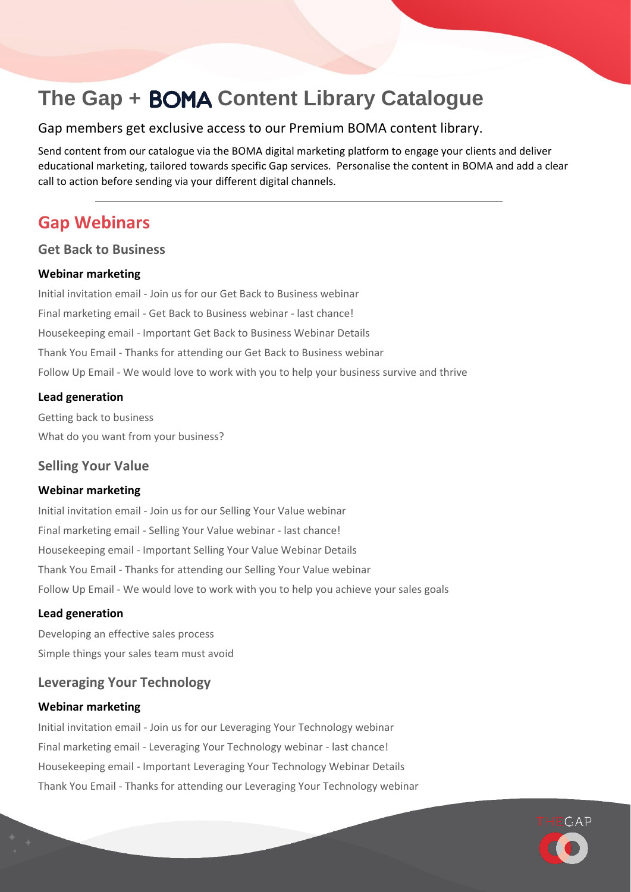# **The Gap + BOMA Content Library Catalogue**

### Gap members get exclusive access to our Premium BOMA content library.

Send content from our catalogue via the BOMA digital marketing platform to engage your clients and deliver educational marketing, tailored towards specific Gap services. Personalise the content in BOMA and add a clear call to action before sending via your different digital channels.

## **Gap Webinars**

### **Get Back to Business**

### **Webinar marketing**

Initial invitation email - Join us for our Get Back to Business webinar Final marketing email - Get Back to Business webinar - last chance! Housekeeping email - Important Get Back to Business Webinar Details Thank You Email - Thanks for attending our Get Back to Business webinar Follow Up Email - We would love to work with you to help your business survive and thrive

### **Lead generation**

Getting back to business What do you want from your business?

### **Selling Your Value**

### **Webinar marketing**

Initial invitation email - Join us for our Selling Your Value webinar Final marketing email - Selling Your Value webinar - last chance! Housekeeping email - Important Selling Your Value Webinar Details Thank You Email - Thanks for attending our Selling Your Value webinar Follow Up Email - We would love to work with you to help you achieve your sales goals

### **Lead generation**

Developing an effective sales process Simple things your sales team must avoid

### **Leveraging Your Technology**

### **Webinar marketing**

Initial invitation email - Join us for our Leveraging Your Technology webinar Final marketing email - Leveraging Your Technology webinar - last chance! Housekeeping email - Important Leveraging Your Technology Webinar Details Thank You Email - Thanks for attending our Leveraging Your Technology webinar

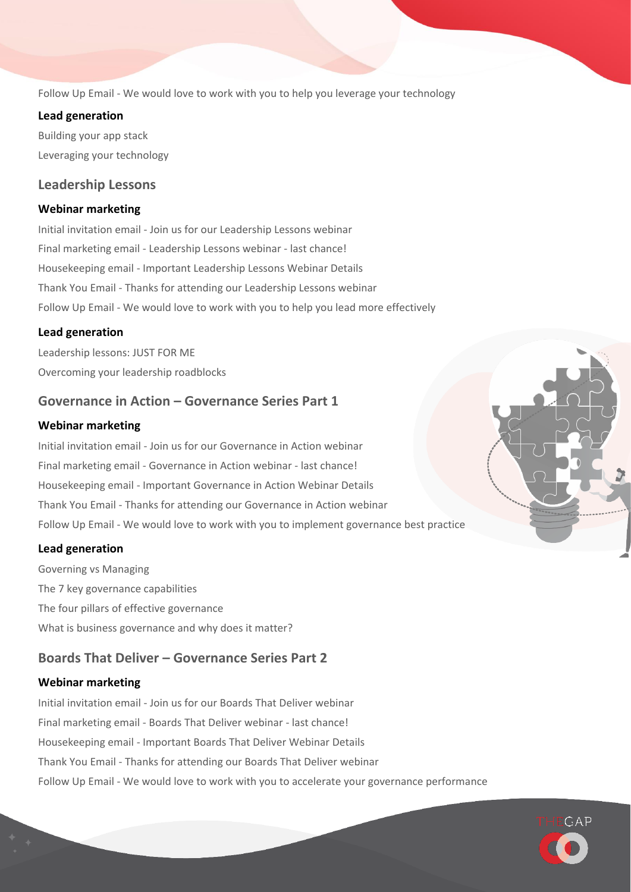Follow Up Email - We would love to work with you to help you leverage your technology

### **Lead generation**

Building your app stack Leveraging your technology

### **Leadership Lessons**

### **Webinar marketing**

Initial invitation email - Join us for our Leadership Lessons webinar Final marketing email - Leadership Lessons webinar - last chance! Housekeeping email - Important Leadership Lessons Webinar Details Thank You Email - Thanks for attending our Leadership Lessons webinar Follow Up Email - We would love to work with you to help you lead more effectively

### **Lead generation**

Leadership lessons: JUST FOR ME Overcoming your leadership roadblocks

### **Governance in Action – Governance Series Part 1**

### **Webinar marketing**

Initial invitation email - Join us for our Governance in Action webinar Final marketing email - Governance in Action webinar - last chance! Housekeeping email - Important Governance in Action Webinar Details Thank You Email - Thanks for attending our Governance in Action webinar Follow Up Email - We would love to work with you to implement governance best practice

### **Lead generation**

Governing vs Managing The 7 key governance capabilities The four pillars of effective governance What is business governance and why does it matter?

### **Boards That Deliver – Governance Series Part 2**

### **Webinar marketing**

Initial invitation email - Join us for our Boards That Deliver webinar Final marketing email - Boards That Deliver webinar - last chance! Housekeeping email - Important Boards That Deliver Webinar Details Thank You Email - Thanks for attending our Boards That Deliver webinar Follow Up Email - We would love to work with you to accelerate your governance performance



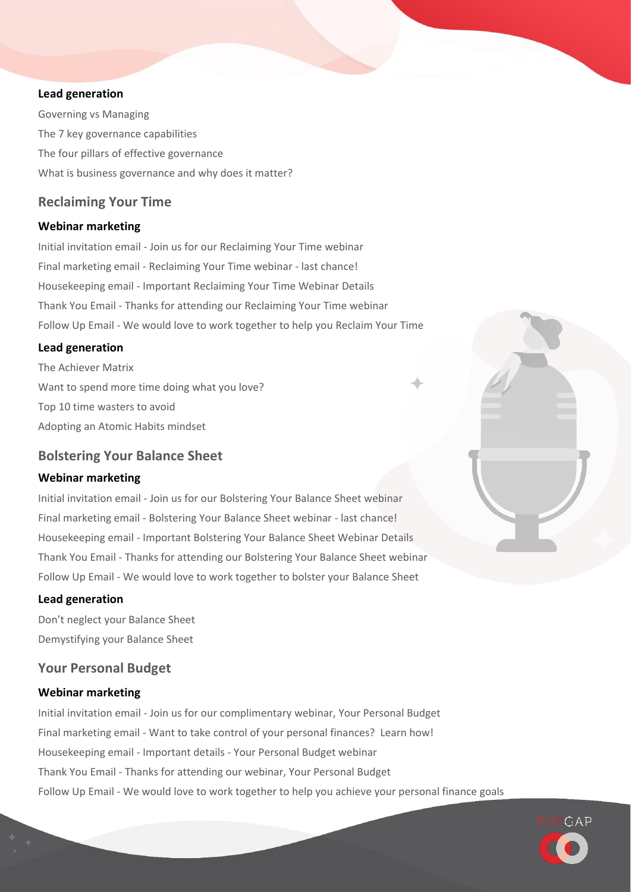#### **Lead generation**

Governing vs Managing The 7 key governance capabilities The four pillars of effective governance What is business governance and why does it matter?

### **Reclaiming Your Time**

### **Webinar marketing**

Initial invitation email - Join us for our Reclaiming Your Time webinar Final marketing email - Reclaiming Your Time webinar - last chance! Housekeeping email - Important Reclaiming Your Time Webinar Details Thank You Email - Thanks for attending our Reclaiming Your Time webinar Follow Up Email - We would love to work together to help you Reclaim Your Time

#### **Lead generation**

The Achiever Matrix Want to spend more time doing what you love? Top 10 time wasters to avoid Adopting an Atomic Habits mindset

### **Bolstering Your Balance Sheet**

#### **Webinar marketing**

Initial invitation email - Join us for our Bolstering Your Balance Sheet webinar Final marketing email - Bolstering Your Balance Sheet webinar - last chance! Housekeeping email - Important Bolstering Your Balance Sheet Webinar Details Thank You Email - Thanks for attending our Bolstering Your Balance Sheet webinar Follow Up Email - We would love to work together to bolster your Balance Sheet

### **Lead generation**

Don't neglect your Balance Sheet Demystifying your Balance Sheet

### **Your Personal Budget**

### **Webinar marketing**

Initial invitation email - Join us for our complimentary webinar, Your Personal Budget Final marketing email - Want to take control of your personal finances? Learn how! Housekeeping email - Important details - Your Personal Budget webinar Thank You Email - Thanks for attending our webinar, Your Personal Budget Follow Up Email - We would love to work together to help you achieve your personal finance goals

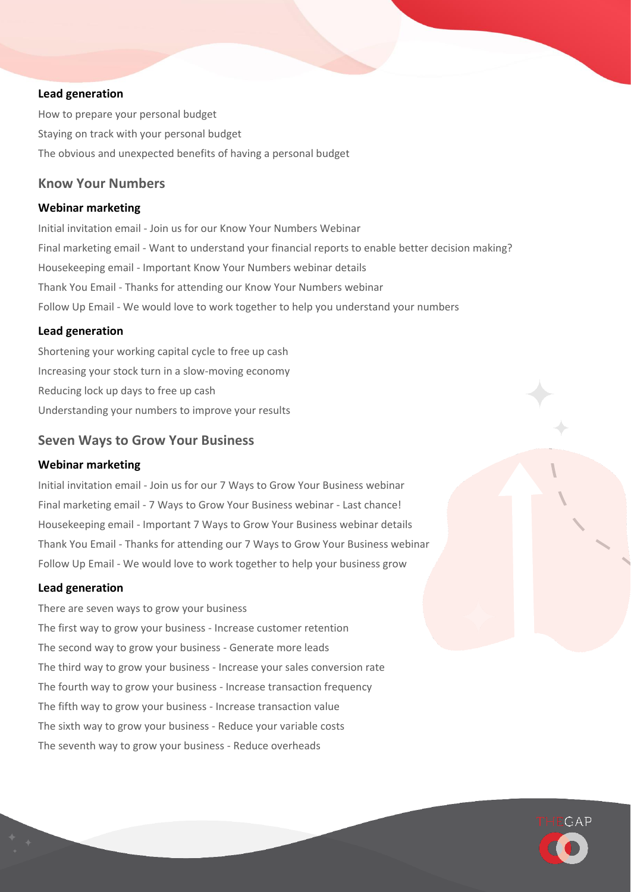### **Lead generation**

How to prepare your personal budget Staying on track with your personal budget The obvious and unexpected benefits of having a personal budget

### **Know Your Numbers**

### **Webinar marketing**

Initial invitation email - Join us for our Know Your Numbers Webinar Final marketing email - Want to understand your financial reports to enable better decision making? Housekeeping email - Important Know Your Numbers webinar details Thank You Email - Thanks for attending our Know Your Numbers webinar Follow Up Email - We would love to work together to help you understand your numbers

### **Lead generation**

Shortening your working capital cycle to free up cash Increasing your stock turn in a slow-moving economy Reducing lock up days to free up cash Understanding your numbers to improve your results

### **Seven Ways to Grow Your Business**

### **Webinar marketing**

Initial invitation email - Join us for our 7 Ways to Grow Your Business webinar Final marketing email - 7 Ways to Grow Your Business webinar - Last chance! Housekeeping email - Important 7 Ways to Grow Your Business webinar details Thank You Email - Thanks for attending our 7 Ways to Grow Your Business webinar Follow Up Email - We would love to work together to help your business grow

#### **Lead generation**

There are seven ways to grow your business The first way to grow your business - Increase customer retention The second way to grow your business - Generate more leads The third way to grow your business - Increase your sales conversion rate The fourth way to grow your business - Increase transaction frequency The fifth way to grow your business - Increase transaction value The sixth way to grow your business - Reduce your variable costs The seventh way to grow your business - Reduce overheads

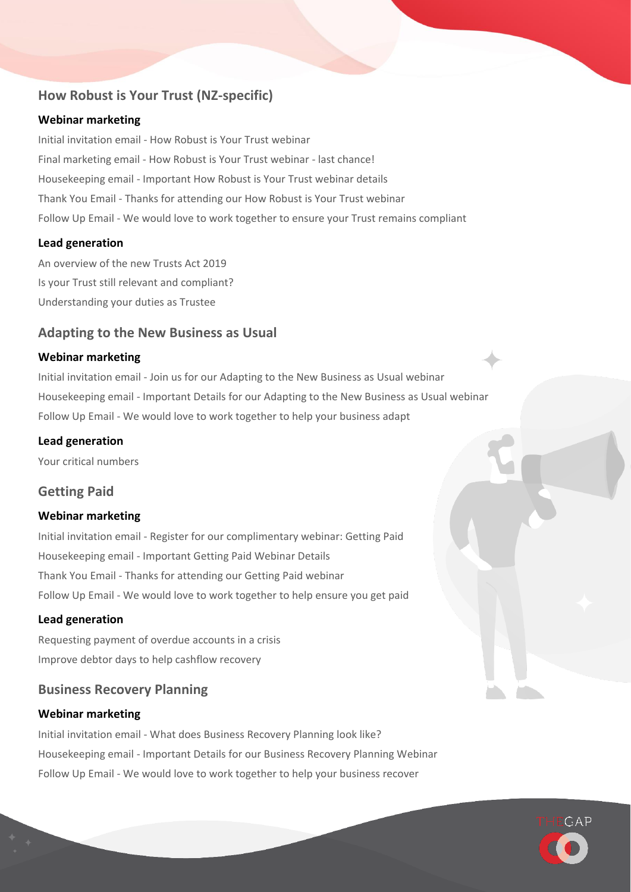## **How Robust is Your Trust (NZ-specific)**

### **Webinar marketing**

Initial invitation email - How Robust is Your Trust webinar Final marketing email - How Robust is Your Trust webinar - last chance! Housekeeping email - Important How Robust is Your Trust webinar details Thank You Email - Thanks for attending our How Robust is Your Trust webinar Follow Up Email - We would love to work together to ensure your Trust remains compliant

### **Lead generation**

An overview of the new Trusts Act 2019 Is your Trust still relevant and compliant? Understanding your duties as Trustee

### **Adapting to the New Business as Usual**

### **Webinar marketing**

Initial invitation email - Join us for our Adapting to the New Business as Usual webinar Housekeeping email - Important Details for our Adapting to the New Business as Usual webinar Follow Up Email - We would love to work together to help your business adapt

### **Lead generation**

Your critical numbers

### **Getting Paid**

### **Webinar marketing**

Initial invitation email - Register for our complimentary webinar: Getting Paid Housekeeping email - Important Getting Paid Webinar Details Thank You Email - Thanks for attending our Getting Paid webinar Follow Up Email - We would love to work together to help ensure you get paid

### **Lead generation**

Requesting payment of overdue accounts in a crisis Improve debtor days to help cashflow recovery

### **Business Recovery Planning**

### **Webinar marketing**

Initial invitation email - What does Business Recovery Planning look like? Housekeeping email - Important Details for our Business Recovery Planning Webinar Follow Up Email - We would love to work together to help your business recover

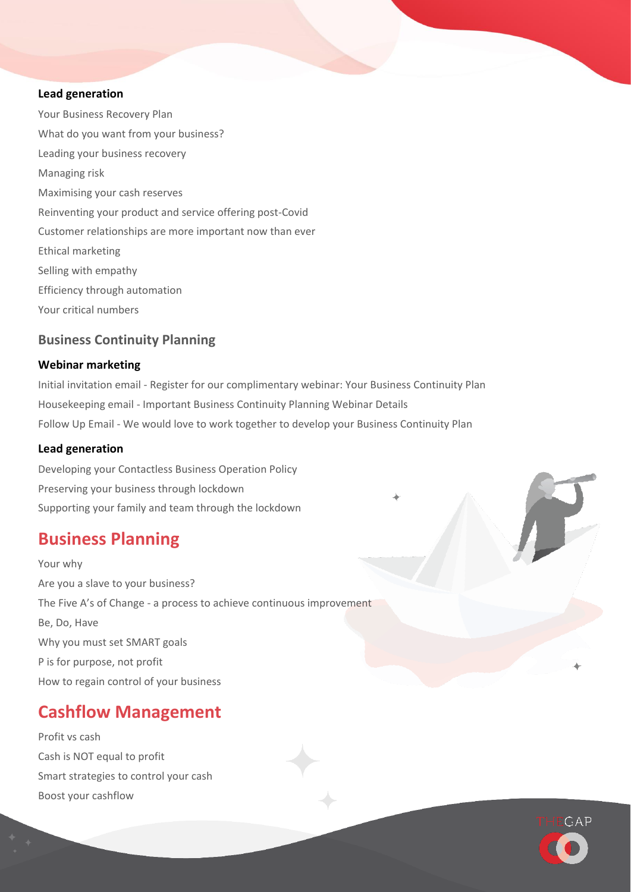#### **Lead generation**

Your Business Recovery Plan What do you want from your business? Leading your business recovery Managing risk Maximising your cash reserves Reinventing your product and service offering post-Covid Customer relationships are more important now than ever Ethical marketing Selling with empathy Efficiency through automation Your critical numbers

### **Business Continuity Planning**

### **Webinar marketing**

Initial invitation email - Register for our complimentary webinar: Your Business Continuity Plan Housekeeping email - Important Business Continuity Planning Webinar Details Follow Up Email - We would love to work together to develop your Business Continuity Plan

### **Lead generation**

Developing your Contactless Business Operation Policy Preserving your business through lockdown Supporting your family and team through the lockdown

## **Business Planning**

Your why Are you a slave to your business? The Five A's of Change - a process to achieve continuous improvement Be, Do, Have Why you must set SMART goals P is for purpose, not profit How to regain control of your business

## **Cashflow Management**

Profit vs cash Cash is NOT equal to profit Smart strategies to control your cash Boost your cashflow

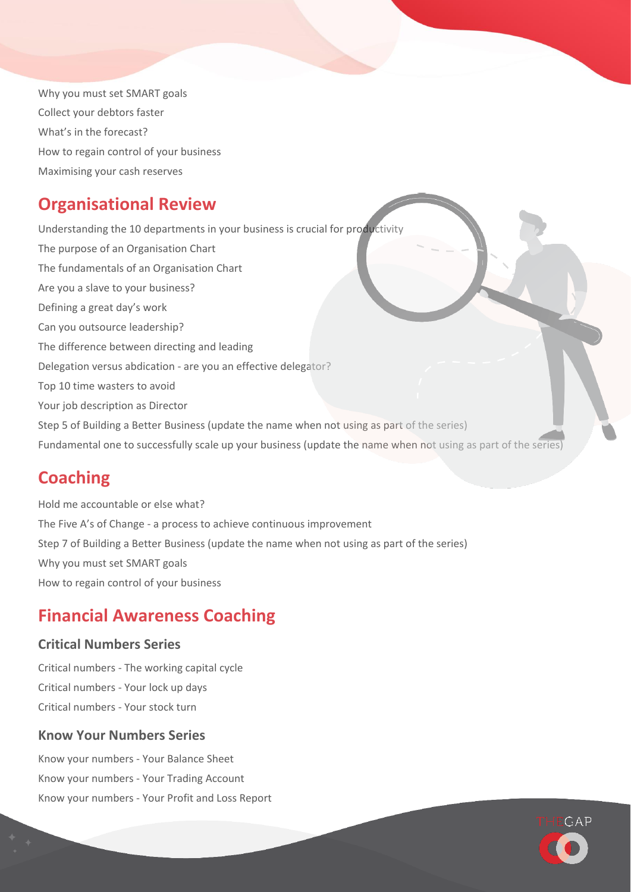Why you must set SMART goals Collect your debtors faster What's in the forecast? How to regain control of your business Maximising your cash reserves

## **Organisational Review**

Understanding the 10 departments in your business is crucial for productivity The purpose of an Organisation Chart The fundamentals of an Organisation Chart Are you a slave to your business? Defining a great day's work Can you outsource leadership? The difference between directing and leading Delegation versus abdication - are you an effective delegator? Top 10 time wasters to avoid Your job description as Director Step 5 of Building a Better Business (update the name when not using as part of the series) Fundamental one to successfully scale up your business (update the name when not using as part of the series)

## **Coaching**

Hold me accountable or else what? The Five A's of Change - a process to achieve continuous improvement Step 7 of Building a Better Business (update the name when not using as part of the series) Why you must set SMART goals How to regain control of your business

## **Financial Awareness Coaching**

## **Critical Numbers Series**

Critical numbers - The working capital cycle Critical numbers - Your lock up days Critical numbers - Your stock turn

## **Know Your Numbers Series**

Know your numbers - Your Balance Sheet Know your numbers - Your Trading Account Know your numbers - Your Profit and Loss Report

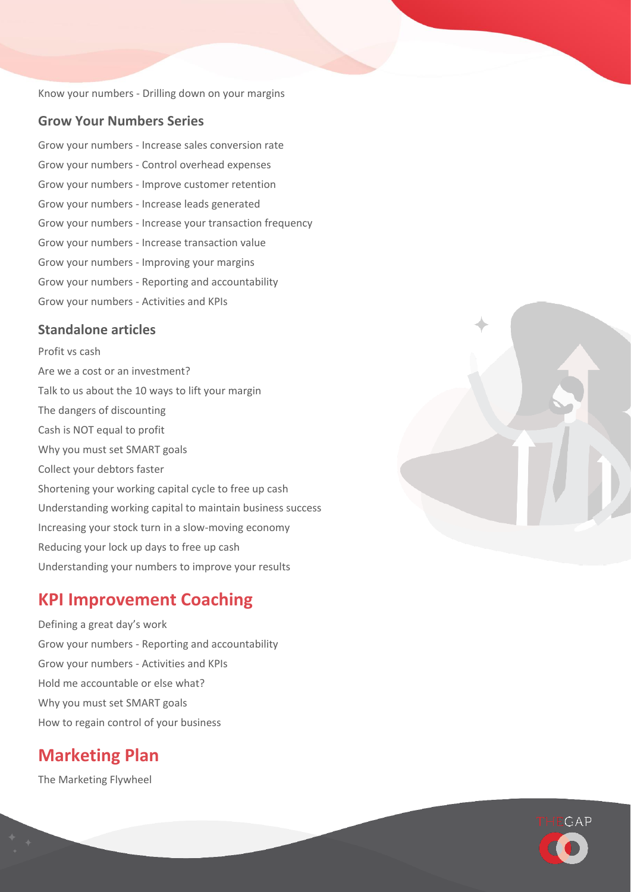Know your numbers - Drilling down on your margins

### **Grow Your Numbers Series**

Grow your numbers - Increase sales conversion rate Grow your numbers - Control overhead expenses Grow your numbers - Improve customer retention Grow your numbers - Increase leads generated Grow your numbers - Increase your transaction frequency Grow your numbers - Increase transaction value Grow your numbers - Improving your margins Grow your numbers - Reporting and accountability Grow your numbers - Activities and KPIs

### **Standalone articles**

Profit vs cash Are we a cost or an investment? Talk to us about the 10 ways to lift your margin The dangers of discounting Cash is NOT equal to profit Why you must set SMART goals Collect your debtors faster Shortening your working capital cycle to free up cash Understanding working capital to maintain business success Increasing your stock turn in a slow-moving economy Reducing your lock up days to free up cash Understanding your numbers to improve your results

## **KPI Improvement Coaching**

Defining a great day's work Grow your numbers - Reporting and accountability Grow your numbers - Activities and KPIs Hold me accountable or else what? Why you must set SMART goals How to regain control of your business

## **Marketing Plan**

The Marketing Flywheel



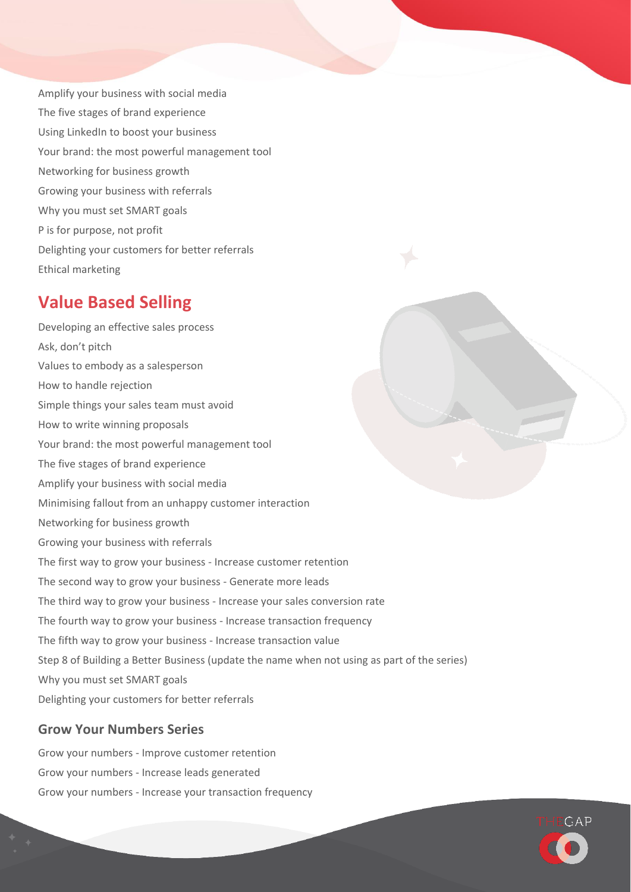Amplify your business with social media The five stages of brand experience Using LinkedIn to boost your business Your brand: the most powerful management tool Networking for business growth Growing your business with referrals Why you must set SMART goals P is for purpose, not profit Delighting your customers for better referrals Ethical marketing

## **Value Based Selling**

Developing an effective sales process Ask, don't pitch Values to embody as a salesperson How to handle rejection Simple things your sales team must avoid How to write winning proposals Your brand: the most powerful management tool The five stages of brand experience Amplify your business with social media Minimising fallout from an unhappy customer interaction Networking for business growth Growing your business with referrals The first way to grow your business - Increase customer retention The second way to grow your business - Generate more leads The third way to grow your business - Increase your sales conversion rate The fourth way to grow your business - Increase transaction frequency The fifth way to grow your business - Increase transaction value Step 8 of Building a Better Business (update the name when not using as part of the series) Why you must set SMART goals Delighting your customers for better referrals

## **Grow Your Numbers Series**

Grow your numbers - Improve customer retention Grow your numbers - Increase leads generated Grow your numbers - Increase your transaction frequency

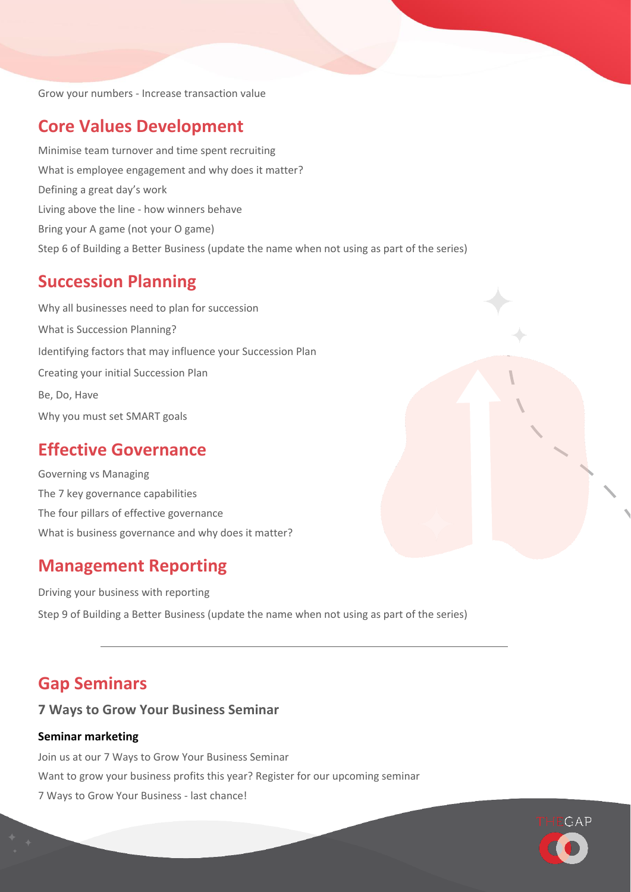Grow your numbers - Increase transaction value

## **Core Values Development**

Minimise team turnover and time spent recruiting What is employee engagement and why does it matter? Defining a great day's work Living above the line - how winners behave Bring your A game (not your O game) Step 6 of Building a Better Business (update the name when not using as part of the series)

## **Succession Planning**

Why all businesses need to plan for succession What is Succession Planning? Identifying factors that may influence your Succession Plan Creating your initial Succession Plan Be, Do, Have Why you must set SMART goals

## **Effective Governance**

Governing vs Managing The 7 key governance capabilities The four pillars of effective governance What is business governance and why does it matter?

## **Management Reporting**

Driving your business with reporting Step 9 of Building a Better Business (update the name when not using as part of the series)

## **Gap Seminars**

### **7 Ways to Grow Your Business Seminar**

### **Seminar marketing**

Join us at our 7 Ways to Grow Your Business Seminar Want to grow your business profits this year? Register for our upcoming seminar 7 Ways to Grow Your Business - last chance!

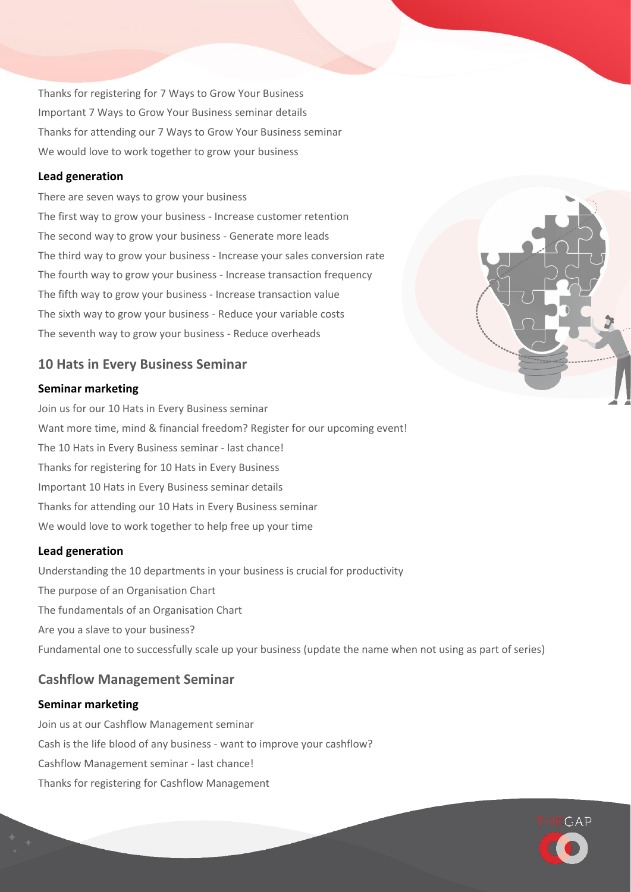Thanks for registering for 7 Ways to Grow Your Business Important 7 Ways to Grow Your Business seminar details Thanks for attending our 7 Ways to Grow Your Business seminar We would love to work together to grow your business

### **Lead generation**

There are seven ways to grow your business The first way to grow your business - Increase customer retention The second way to grow your business - Generate more leads The third way to grow your business - Increase your sales conversion rate The fourth way to grow your business - Increase transaction frequency The fifth way to grow your business - Increase transaction value The sixth way to grow your business - Reduce your variable costs The seventh way to grow your business - Reduce overheads

### **10 Hats in Every Business Seminar**

### **Seminar marketing**

Join us for our 10 Hats in Every Business seminar Want more time, mind & financial freedom? Register for our upcoming event! The 10 Hats in Every Business seminar - last chance! Thanks for registering for 10 Hats in Every Business Important 10 Hats in Every Business seminar details Thanks for attending our 10 Hats in Every Business seminar We would love to work together to help free up your time

### **Lead generation**

Understanding the 10 departments in your business is crucial for productivity The purpose of an Organisation Chart The fundamentals of an Organisation Chart Are you a slave to your business? Fundamental one to successfully scale up your business (update the name when not using as part of series)

### **Cashflow Management Seminar**

### **Seminar marketing**

Join us at our Cashflow Management seminar Cash is the life blood of any business - want to improve your cashflow? Cashflow Management seminar - last chance! Thanks for registering for Cashflow Management



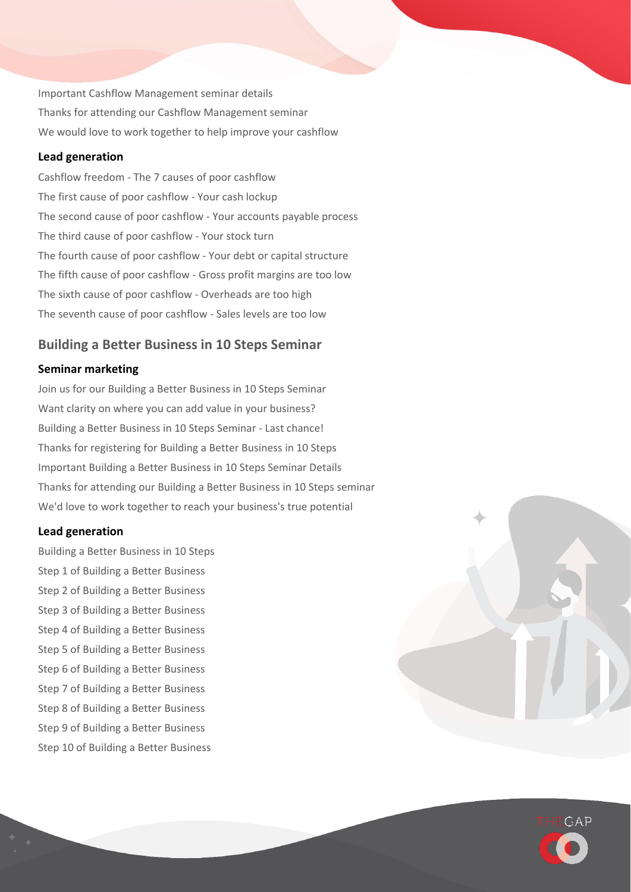Important Cashflow Management seminar details Thanks for attending our Cashflow Management seminar We would love to work together to help improve your cashflow

### **Lead generation**

Cashflow freedom - The 7 causes of poor cashflow The first cause of poor cashflow - Your cash lockup The second cause of poor cashflow - Your accounts payable process The third cause of poor cashflow - Your stock turn The fourth cause of poor cashflow - Your debt or capital structure The fifth cause of poor cashflow - Gross profit margins are too low The sixth cause of poor cashflow - Overheads are too high The seventh cause of poor cashflow - Sales levels are too low

### **Building a Better Business in 10 Steps Seminar**

### **Seminar marketing**

Join us for our Building a Better Business in 10 Steps Seminar Want clarity on where you can add value in your business? Building a Better Business in 10 Steps Seminar - Last chance! Thanks for registering for Building a Better Business in 10 Steps Important Building a Better Business in 10 Steps Seminar Details Thanks for attending our Building a Better Business in 10 Steps seminar We'd love to work together to reach your business's true potential

#### **Lead generation**

Building a Better Business in 10 Steps Step 1 of Building a Better Business Step 2 of Building a Better Business Step 3 of Building a Better Business Step 4 of Building a Better Business Step 5 of Building a Better Business Step 6 of Building a Better Business Step 7 of Building a Better Business Step 8 of Building a Better Business Step 9 of Building a Better Business Step 10 of Building a Better Business



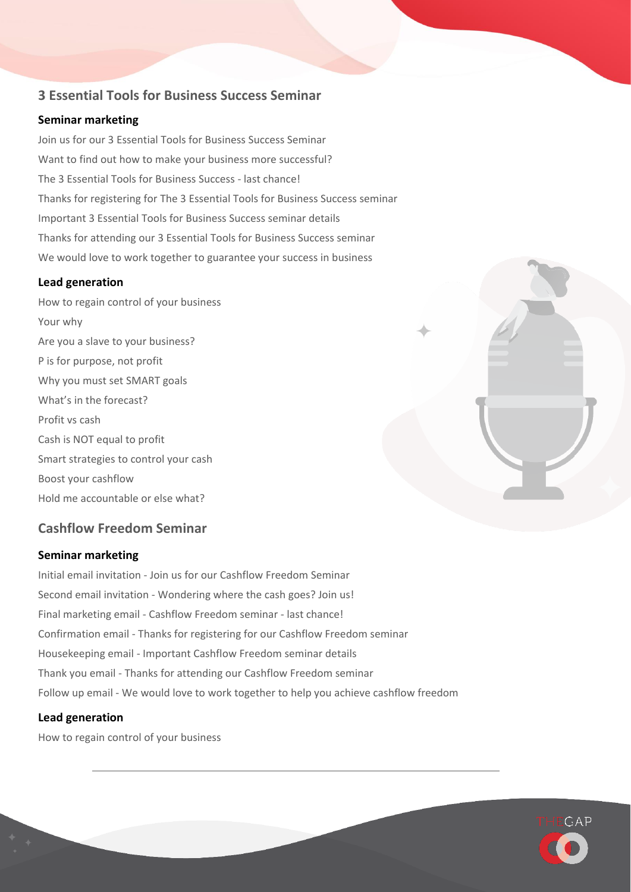### **3 Essential Tools for Business Success Seminar**

### **Seminar marketing**

Join us for our 3 Essential Tools for Business Success Seminar Want to find out how to make your business more successful? The 3 Essential Tools for Business Success - last chance! Thanks for registering for The 3 Essential Tools for Business Success seminar Important 3 Essential Tools for Business Success seminar details Thanks for attending our 3 Essential Tools for Business Success seminar We would love to work together to guarantee your success in business

### **Lead generation**

How to regain control of your business Your why Are you a slave to your business? P is for purpose, not profit Why you must set SMART goals What's in the forecast? Profit vs cash Cash is NOT equal to profit Smart strategies to control your cash Boost your cashflow Hold me accountable or else what?

## **Cashflow Freedom Seminar**

### **Seminar marketing**

Initial email invitation - Join us for our Cashflow Freedom Seminar Second email invitation - Wondering where the cash goes? Join us! Final marketing email - Cashflow Freedom seminar - last chance! Confirmation email - Thanks for registering for our Cashflow Freedom seminar Housekeeping email - Important Cashflow Freedom seminar details Thank you email - Thanks for attending our Cashflow Freedom seminar Follow up email - We would love to work together to help you achieve cashflow freedom

### **Lead generation**

How to regain control of your business



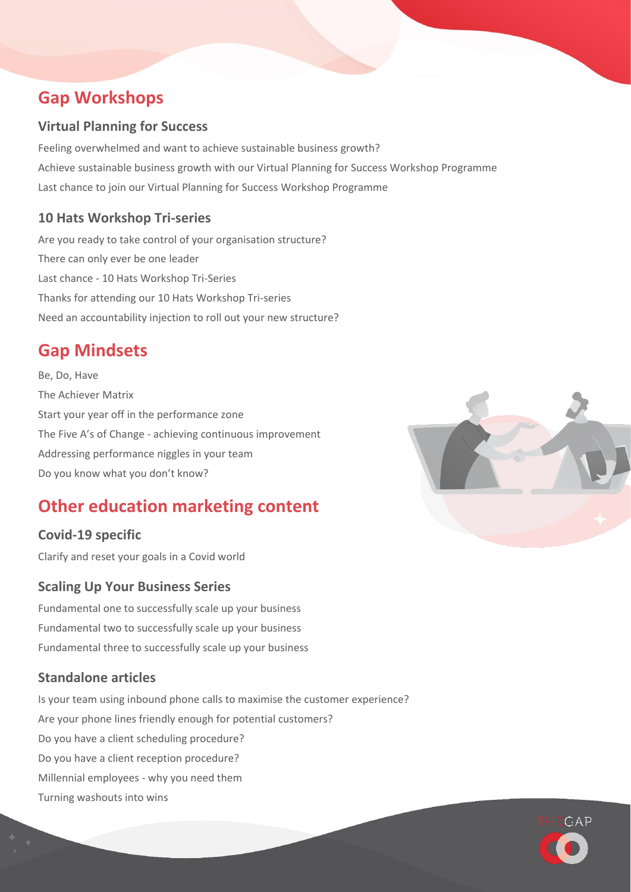## **Gap Workshops**

## **Virtual Planning for Success**

Feeling overwhelmed and want to achieve sustainable business growth? Achieve sustainable business growth with our Virtual Planning for Success Workshop Programme Last chance to join our Virtual Planning for Success Workshop Programme

## **10 Hats Workshop Tri-series**

Are you ready to take control of your organisation structure? There can only ever be one leader Last chance - 10 Hats Workshop Tri-Series Thanks for attending our 10 Hats Workshop Tri-series Need an accountability injection to roll out your new structure?

## **Gap Mindsets**

Be, Do, Have The Achiever Matrix Start your year off in the performance zone The Five A's of Change - achieving continuous improvement Addressing performance niggles in your team Do you know what you don't know?

## **Other education marketing content**

## **Covid-19 specific**

Clarify and reset your goals in a Covid world

## **Scaling Up Your Business Series**

Fundamental one to successfully scale up your business Fundamental two to successfully scale up your business Fundamental three to successfully scale up your business

## **Standalone articles**

Is your team using inbound phone calls to maximise the customer experience? Are your phone lines friendly enough for potential customers? Do you have a client scheduling procedure? Do you have a client reception procedure? Millennial employees - why you need them Turning washouts into wins